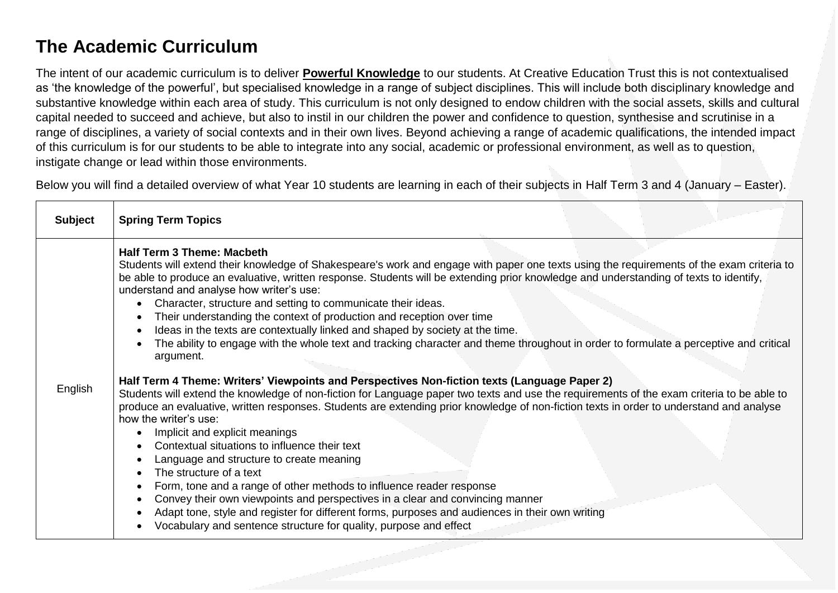# **The Academic Curriculum**

The intent of our academic curriculum is to deliver **Powerful Knowledge** to our students. At Creative Education Trust this is not contextualised as 'the knowledge of the powerful', but specialised knowledge in a range of subject disciplines. This will include both disciplinary knowledge and substantive knowledge within each area of study. This curriculum is not only designed to endow children with the social assets, skills and cultural capital needed to succeed and achieve, but also to instil in our children the power and confidence to question, synthesise and scrutinise in a range of disciplines, a variety of social contexts and in their own lives. Beyond achieving a range of academic qualifications, the intended impact of this curriculum is for our students to be able to integrate into any social, academic or professional environment, as well as to question, instigate change or lead within those environments.

Below you will find a detailed overview of what Year 10 students are learning in each of their subjects in Half Term 3 and 4 (January – Easter).

| <b>Subject</b> | <b>Spring Term Topics</b>                                                                                                                                                                                                                                                                                                                                                                                                                                                                                                                                                                                                                                                                                                                                                                                                                                                                                                                                                                                                                                                                                                                                                                                                                                                                                                                                                                                                                                                                                                                                                                                                                                          |
|----------------|--------------------------------------------------------------------------------------------------------------------------------------------------------------------------------------------------------------------------------------------------------------------------------------------------------------------------------------------------------------------------------------------------------------------------------------------------------------------------------------------------------------------------------------------------------------------------------------------------------------------------------------------------------------------------------------------------------------------------------------------------------------------------------------------------------------------------------------------------------------------------------------------------------------------------------------------------------------------------------------------------------------------------------------------------------------------------------------------------------------------------------------------------------------------------------------------------------------------------------------------------------------------------------------------------------------------------------------------------------------------------------------------------------------------------------------------------------------------------------------------------------------------------------------------------------------------------------------------------------------------------------------------------------------------|
| English        | <b>Half Term 3 Theme: Macbeth</b><br>Students will extend their knowledge of Shakespeare's work and engage with paper one texts using the requirements of the exam criteria to<br>be able to produce an evaluative, written response. Students will be extending prior knowledge and understanding of texts to identify,<br>understand and analyse how writer's use:<br>Character, structure and setting to communicate their ideas.<br>Their understanding the context of production and reception over time<br>Ideas in the texts are contextually linked and shaped by society at the time.<br>The ability to engage with the whole text and tracking character and theme throughout in order to formulate a perceptive and critical<br>argument.<br>Half Term 4 Theme: Writers' Viewpoints and Perspectives Non-fiction texts (Language Paper 2)<br>Students will extend the knowledge of non-fiction for Language paper two texts and use the requirements of the exam criteria to be able to<br>produce an evaluative, written responses. Students are extending prior knowledge of non-fiction texts in order to understand and analyse<br>how the writer's use:<br>Implicit and explicit meanings<br>Contextual situations to influence their text<br>Language and structure to create meaning<br>The structure of a text<br>Form, tone and a range of other methods to influence reader response<br>Convey their own viewpoints and perspectives in a clear and convincing manner<br>Adapt tone, style and register for different forms, purposes and audiences in their own writing<br>Vocabulary and sentence structure for quality, purpose and effect |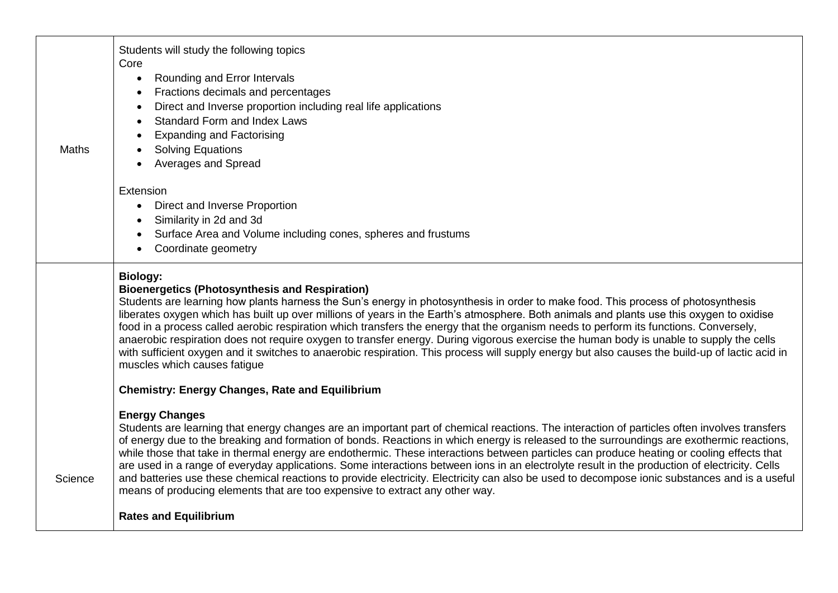| <b>Maths</b> | Students will study the following topics<br>Core<br>Rounding and Error Intervals<br>$\bullet$<br>Fractions decimals and percentages<br>Direct and Inverse proportion including real life applications<br><b>Standard Form and Index Laws</b><br><b>Expanding and Factorising</b><br><b>Solving Equations</b><br><b>Averages and Spread</b>                                                                                                                                                                                                                                                                                                                                                                                                                                                                                                        |
|--------------|---------------------------------------------------------------------------------------------------------------------------------------------------------------------------------------------------------------------------------------------------------------------------------------------------------------------------------------------------------------------------------------------------------------------------------------------------------------------------------------------------------------------------------------------------------------------------------------------------------------------------------------------------------------------------------------------------------------------------------------------------------------------------------------------------------------------------------------------------|
|              | Extension<br>Direct and Inverse Proportion<br>Similarity in 2d and 3d<br>Surface Area and Volume including cones, spheres and frustums<br>Coordinate geometry                                                                                                                                                                                                                                                                                                                                                                                                                                                                                                                                                                                                                                                                                     |
|              | <b>Biology:</b><br><b>Bioenergetics (Photosynthesis and Respiration)</b><br>Students are learning how plants harness the Sun's energy in photosynthesis in order to make food. This process of photosynthesis<br>liberates oxygen which has built up over millions of years in the Earth's atmosphere. Both animals and plants use this oxygen to oxidise<br>food in a process called aerobic respiration which transfers the energy that the organism needs to perform its functions. Conversely,<br>anaerobic respiration does not require oxygen to transfer energy. During vigorous exercise the human body is unable to supply the cells<br>with sufficient oxygen and it switches to anaerobic respiration. This process will supply energy but also causes the build-up of lactic acid in<br>muscles which causes fatigue                  |
|              | <b>Chemistry: Energy Changes, Rate and Equilibrium</b>                                                                                                                                                                                                                                                                                                                                                                                                                                                                                                                                                                                                                                                                                                                                                                                            |
| Science      | <b>Energy Changes</b><br>Students are learning that energy changes are an important part of chemical reactions. The interaction of particles often involves transfers<br>of energy due to the breaking and formation of bonds. Reactions in which energy is released to the surroundings are exothermic reactions,<br>while those that take in thermal energy are endothermic. These interactions between particles can produce heating or cooling effects that<br>are used in a range of everyday applications. Some interactions between ions in an electrolyte result in the production of electricity. Cells<br>and batteries use these chemical reactions to provide electricity. Electricity can also be used to decompose ionic substances and is a useful<br>means of producing elements that are too expensive to extract any other way. |
|              | <b>Rates and Equilibrium</b>                                                                                                                                                                                                                                                                                                                                                                                                                                                                                                                                                                                                                                                                                                                                                                                                                      |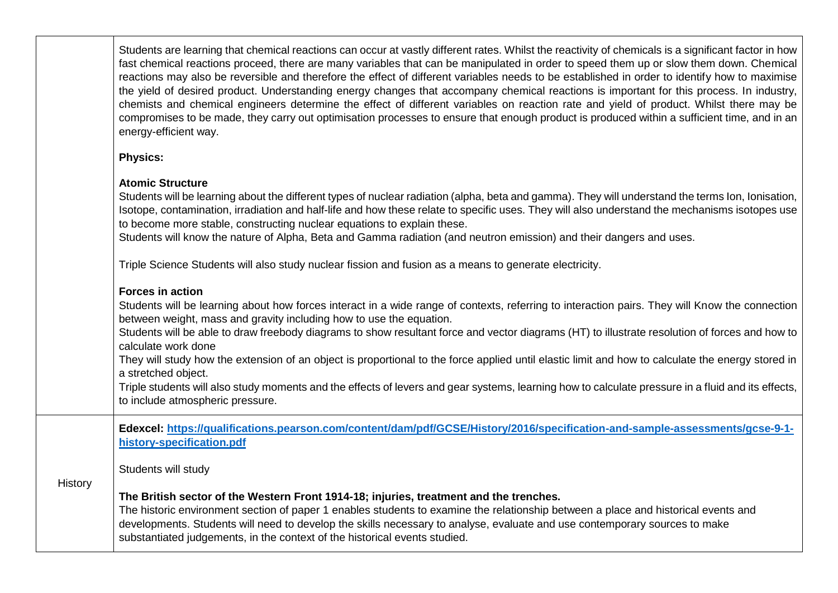Students are learning that chemical reactions can occur at vastly different rates. Whilst the reactivity of chemicals is a significant factor in how fast chemical reactions proceed, there are many variables that can be manipulated in order to speed them up or slow them down. Chemical reactions may also be reversible and therefore the effect of different variables needs to be established in order to identify how to maximise the yield of desired product. Understanding energy changes that accompany chemical reactions is important for this process. In industry, chemists and chemical engineers determine the effect of different variables on reaction rate and yield of product. Whilst there may be compromises to be made, they carry out optimisation processes to ensure that enough product is produced within a sufficient time, and in an energy-efficient way.

#### **Physics:**

## **Atomic Structure**

Students will be learning about the different types of nuclear radiation (alpha, beta and gamma). They will understand the terms Ion, Ionisation, Isotope, contamination, irradiation and half-life and how these relate to specific uses. They will also understand the mechanisms isotopes use to become more stable, constructing nuclear equations to explain these.

Students will know the nature of Alpha, Beta and Gamma radiation (and neutron emission) and their dangers and uses.

Triple Science Students will also study nuclear fission and fusion as a means to generate electricity.

### **Forces in action**

Students will be learning about how forces interact in a wide range of contexts, referring to interaction pairs. They will Know the connection between weight, mass and gravity including how to use the equation.

Students will be able to draw freebody diagrams to show resultant force and vector diagrams (HT) to illustrate resolution of forces and how to calculate work done

They will study how the extension of an object is proportional to the force applied until elastic limit and how to calculate the energy stored in a stretched object.

Triple students will also study moments and the effects of levers and gear systems, learning how to calculate pressure in a fluid and its effects, to include atmospheric pressure.

**Edexcel: [https://qualifications.pearson.com/content/dam/pdf/GCSE/History/2016/specification-and-sample-assessments/gcse-9-1](https://qualifications.pearson.com/content/dam/pdf/GCSE/History/2016/specification-and-sample-assessments/gcse-9-1-history-specification.pdf) [history-specification.pdf](https://qualifications.pearson.com/content/dam/pdf/GCSE/History/2016/specification-and-sample-assessments/gcse-9-1-history-specification.pdf)**

Students will study

**History** 

#### **The British sector of the Western Front 1914-18; injuries, treatment and the trenches.**

The historic environment section of paper 1 enables students to examine the relationship between a place and historical events and developments. Students will need to develop the skills necessary to analyse, evaluate and use contemporary sources to make substantiated judgements, in the context of the historical events studied.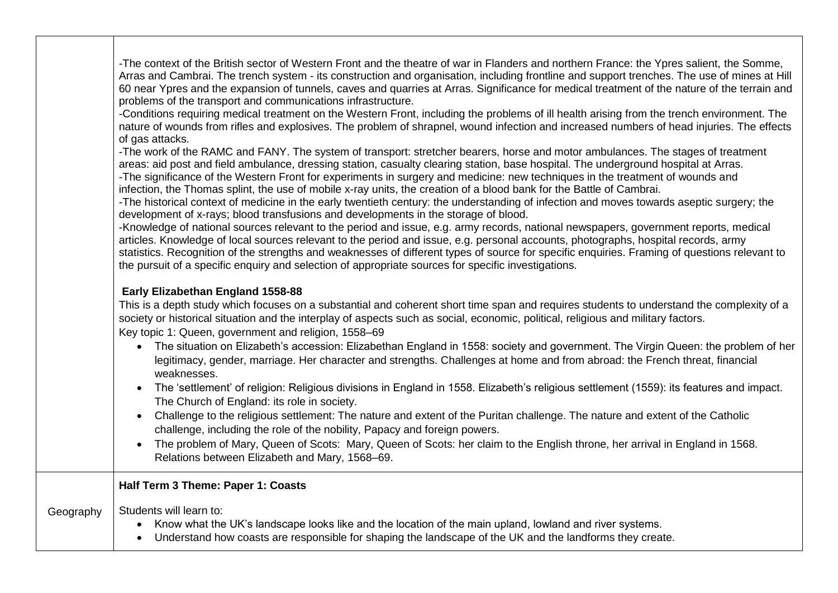-The context of the British sector of Western Front and the theatre of war in Flanders and northern France: the Ypres salient, the Somme, Arras and Cambrai. The trench system - its construction and organisation, including frontline and support trenches. The use of mines at Hill 60 near Ypres and the expansion of tunnels, caves and quarries at Arras. Significance for medical treatment of the nature of the terrain and problems of the transport and communications infrastructure.

-Conditions requiring medical treatment on the Western Front, including the problems of ill health arising from the trench environment. The nature of wounds from rifles and explosives. The problem of shrapnel, wound infection and increased numbers of head injuries. The effects of gas attacks.

-The work of the RAMC and FANY. The system of transport: stretcher bearers, horse and motor ambulances. The stages of treatment areas: aid post and field ambulance, dressing station, casualty clearing station, base hospital. The underground hospital at Arras. -The significance of the Western Front for experiments in surgery and medicine: new techniques in the treatment of wounds and

infection, the Thomas splint, the use of mobile x-ray units, the creation of a blood bank for the Battle of Cambrai.

-The historical context of medicine in the early twentieth century: the understanding of infection and moves towards aseptic surgery; the development of x-rays; blood transfusions and developments in the storage of blood.

-Knowledge of national sources relevant to the period and issue, e.g. army records, national newspapers, government reports, medical articles. Knowledge of local sources relevant to the period and issue, e.g. personal accounts, photographs, hospital records, army statistics. Recognition of the strengths and weaknesses of different types of source for specific enquiries. Framing of questions relevant to the pursuit of a specific enquiry and selection of appropriate sources for specific investigations.

#### **Early Elizabethan England 1558-88**

This is a depth study which focuses on a substantial and coherent short time span and requires students to understand the complexity of a society or historical situation and the interplay of aspects such as social, economic, political, religious and military factors. Key topic 1: Queen, government and religion, 1558–69

- The situation on Elizabeth's accession: Elizabethan England in 1558: society and government. The Virgin Queen: the problem of her legitimacy, gender, marriage. Her character and strengths. Challenges at home and from abroad: the French threat, financial weaknesses.
- The 'settlement' of religion: Religious divisions in England in 1558. Elizabeth's religious settlement (1559): its features and impact. The Church of England: its role in society.
- Challenge to the religious settlement: The nature and extent of the Puritan challenge. The nature and extent of the Catholic challenge, including the role of the nobility, Papacy and foreign powers.
- The problem of Mary, Queen of Scots: Mary, Queen of Scots: her claim to the English throne, her arrival in England in 1568. Relations between Elizabeth and Mary, 1568–69.

**Half Term 3 Theme: Paper 1: Coasts**

Geography Students will learn to:

- Know what the UK's landscape looks like and the location of the main upland, lowland and river systems.
- Understand how coasts are responsible for shaping the landscape of the UK and the landforms they create.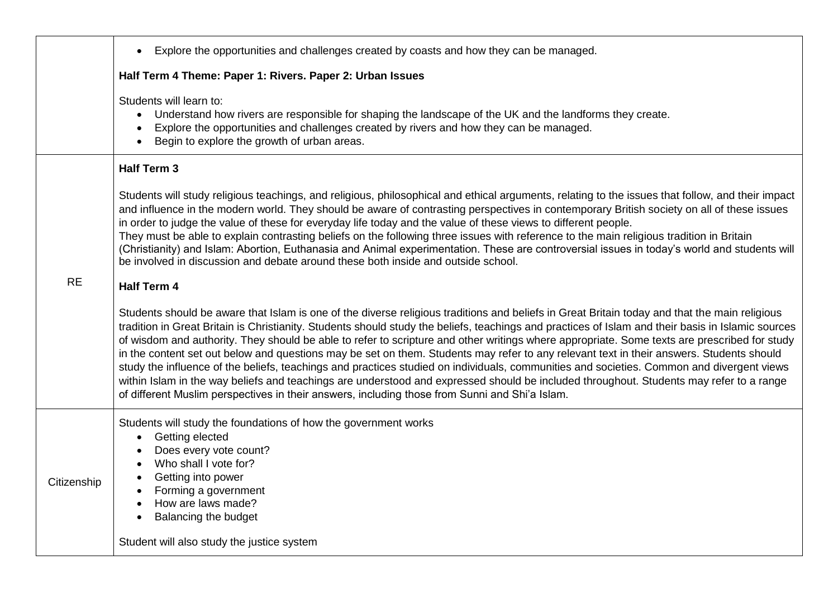|             | Explore the opportunities and challenges created by coasts and how they can be managed.<br>$\bullet$                                                                                                                                                                                                                                                                                                                                                                                                                                                                                                                                                                                                                                                                                                                                                                                                                                                                                      |
|-------------|-------------------------------------------------------------------------------------------------------------------------------------------------------------------------------------------------------------------------------------------------------------------------------------------------------------------------------------------------------------------------------------------------------------------------------------------------------------------------------------------------------------------------------------------------------------------------------------------------------------------------------------------------------------------------------------------------------------------------------------------------------------------------------------------------------------------------------------------------------------------------------------------------------------------------------------------------------------------------------------------|
|             | Half Term 4 Theme: Paper 1: Rivers. Paper 2: Urban Issues                                                                                                                                                                                                                                                                                                                                                                                                                                                                                                                                                                                                                                                                                                                                                                                                                                                                                                                                 |
|             | Students will learn to:<br>Understand how rivers are responsible for shaping the landscape of the UK and the landforms they create.<br>Explore the opportunities and challenges created by rivers and how they can be managed.<br>Begin to explore the growth of urban areas.                                                                                                                                                                                                                                                                                                                                                                                                                                                                                                                                                                                                                                                                                                             |
|             | <b>Half Term 3</b>                                                                                                                                                                                                                                                                                                                                                                                                                                                                                                                                                                                                                                                                                                                                                                                                                                                                                                                                                                        |
|             | Students will study religious teachings, and religious, philosophical and ethical arguments, relating to the issues that follow, and their impact<br>and influence in the modern world. They should be aware of contrasting perspectives in contemporary British society on all of these issues<br>in order to judge the value of these for everyday life today and the value of these views to different people.<br>They must be able to explain contrasting beliefs on the following three issues with reference to the main religious tradition in Britain<br>(Christianity) and Islam: Abortion, Euthanasia and Animal experimentation. These are controversial issues in today's world and students will<br>be involved in discussion and debate around these both inside and outside school.                                                                                                                                                                                        |
| <b>RE</b>   | <b>Half Term 4</b>                                                                                                                                                                                                                                                                                                                                                                                                                                                                                                                                                                                                                                                                                                                                                                                                                                                                                                                                                                        |
|             | Students should be aware that Islam is one of the diverse religious traditions and beliefs in Great Britain today and that the main religious<br>tradition in Great Britain is Christianity. Students should study the beliefs, teachings and practices of Islam and their basis in Islamic sources<br>of wisdom and authority. They should be able to refer to scripture and other writings where appropriate. Some texts are prescribed for study<br>in the content set out below and questions may be set on them. Students may refer to any relevant text in their answers. Students should<br>study the influence of the beliefs, teachings and practices studied on individuals, communities and societies. Common and divergent views<br>within Islam in the way beliefs and teachings are understood and expressed should be included throughout. Students may refer to a range<br>of different Muslim perspectives in their answers, including those from Sunni and Shi'a Islam. |
| Citizenship | Students will study the foundations of how the government works<br>Getting elected<br>Does every vote count?<br>Who shall I vote for?<br>Getting into power<br>Forming a government<br>How are laws made?<br>Balancing the budget<br>$\bullet$                                                                                                                                                                                                                                                                                                                                                                                                                                                                                                                                                                                                                                                                                                                                            |
|             | Student will also study the justice system                                                                                                                                                                                                                                                                                                                                                                                                                                                                                                                                                                                                                                                                                                                                                                                                                                                                                                                                                |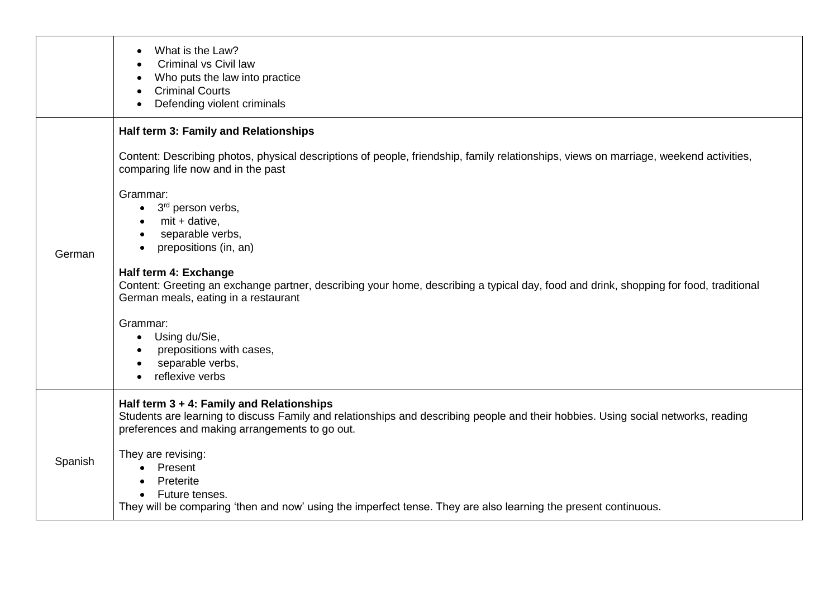|         | What is the Law?<br><b>Criminal vs Civil law</b><br>Who puts the law into practice<br><b>Criminal Courts</b><br>Defending violent criminals                                                                                                                                                                                                                                                                                                                                         |
|---------|-------------------------------------------------------------------------------------------------------------------------------------------------------------------------------------------------------------------------------------------------------------------------------------------------------------------------------------------------------------------------------------------------------------------------------------------------------------------------------------|
|         | Half term 3: Family and Relationships<br>Content: Describing photos, physical descriptions of people, friendship, family relationships, views on marriage, weekend activities,                                                                                                                                                                                                                                                                                                      |
| German  | comparing life now and in the past<br>Grammar:<br>3 <sup>rd</sup> person verbs,<br>$\bullet$<br>$mit + dative,$<br>separable verbs,<br>$\bullet$<br>prepositions (in, an)<br>Half term 4: Exchange<br>Content: Greeting an exchange partner, describing your home, describing a typical day, food and drink, shopping for food, traditional<br>German meals, eating in a restaurant<br>Grammar:<br>Using du/Sie,<br>prepositions with cases,<br>separable verbs,<br>reflexive verbs |
|         | Half term $3 + 4$ : Family and Relationships<br>Students are learning to discuss Family and relationships and describing people and their hobbies. Using social networks, reading<br>preferences and making arrangements to go out.                                                                                                                                                                                                                                                 |
| Spanish | They are revising:<br>Present<br>Preterite<br>$\bullet$<br>Future tenses.<br>$\bullet$<br>They will be comparing 'then and now' using the imperfect tense. They are also learning the present continuous.                                                                                                                                                                                                                                                                           |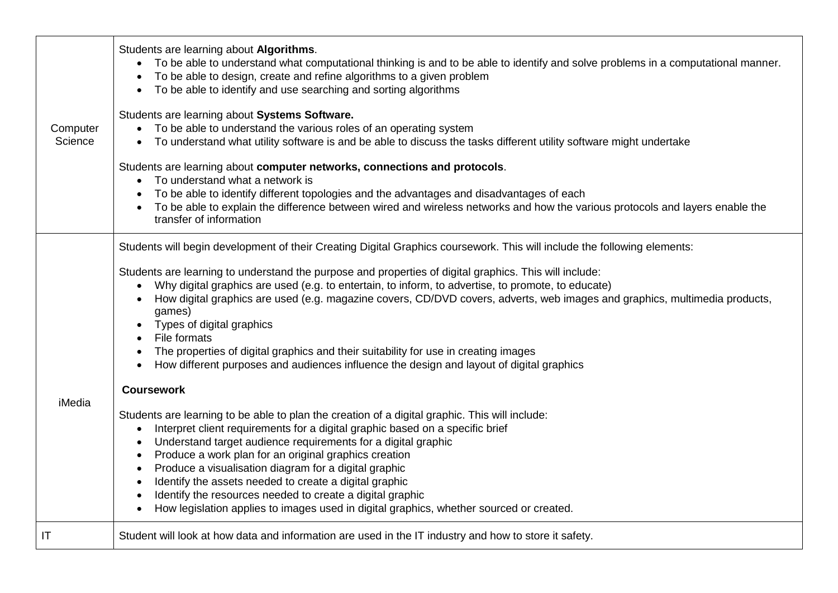|                     | Students are learning about Algorithms.<br>To be able to understand what computational thinking is and to be able to identify and solve problems in a computational manner.<br>To be able to design, create and refine algorithms to a given problem<br>To be able to identify and use searching and sorting algorithms<br>$\bullet$                                                                                                                                                                                                                                                                                                                                                                                                                                                                                                                                                                                                                                                                                                                                                                                                                                                                                                                                                                                                                    |
|---------------------|---------------------------------------------------------------------------------------------------------------------------------------------------------------------------------------------------------------------------------------------------------------------------------------------------------------------------------------------------------------------------------------------------------------------------------------------------------------------------------------------------------------------------------------------------------------------------------------------------------------------------------------------------------------------------------------------------------------------------------------------------------------------------------------------------------------------------------------------------------------------------------------------------------------------------------------------------------------------------------------------------------------------------------------------------------------------------------------------------------------------------------------------------------------------------------------------------------------------------------------------------------------------------------------------------------------------------------------------------------|
| Computer<br>Science | Students are learning about Systems Software.<br>To be able to understand the various roles of an operating system<br>To understand what utility software is and be able to discuss the tasks different utility software might undertake<br>$\bullet$                                                                                                                                                                                                                                                                                                                                                                                                                                                                                                                                                                                                                                                                                                                                                                                                                                                                                                                                                                                                                                                                                                   |
|                     | Students are learning about computer networks, connections and protocols.<br>To understand what a network is<br>$\bullet$<br>To be able to identify different topologies and the advantages and disadvantages of each<br>To be able to explain the difference between wired and wireless networks and how the various protocols and layers enable the<br>transfer of information                                                                                                                                                                                                                                                                                                                                                                                                                                                                                                                                                                                                                                                                                                                                                                                                                                                                                                                                                                        |
| iMedia              | Students will begin development of their Creating Digital Graphics coursework. This will include the following elements:<br>Students are learning to understand the purpose and properties of digital graphics. This will include:<br>Why digital graphics are used (e.g. to entertain, to inform, to advertise, to promote, to educate)<br>How digital graphics are used (e.g. magazine covers, CD/DVD covers, adverts, web images and graphics, multimedia products,<br>games)<br>Types of digital graphics<br>File formats<br>The properties of digital graphics and their suitability for use in creating images<br>How different purposes and audiences influence the design and layout of digital graphics<br><b>Coursework</b><br>Students are learning to be able to plan the creation of a digital graphic. This will include:<br>Interpret client requirements for a digital graphic based on a specific brief<br>$\bullet$<br>Understand target audience requirements for a digital graphic<br>Produce a work plan for an original graphics creation<br>Produce a visualisation diagram for a digital graphic<br>$\bullet$<br>Identify the assets needed to create a digital graphic<br>Identify the resources needed to create a digital graphic<br>How legislation applies to images used in digital graphics, whether sourced or created. |
| IT                  | Student will look at how data and information are used in the IT industry and how to store it safety.                                                                                                                                                                                                                                                                                                                                                                                                                                                                                                                                                                                                                                                                                                                                                                                                                                                                                                                                                                                                                                                                                                                                                                                                                                                   |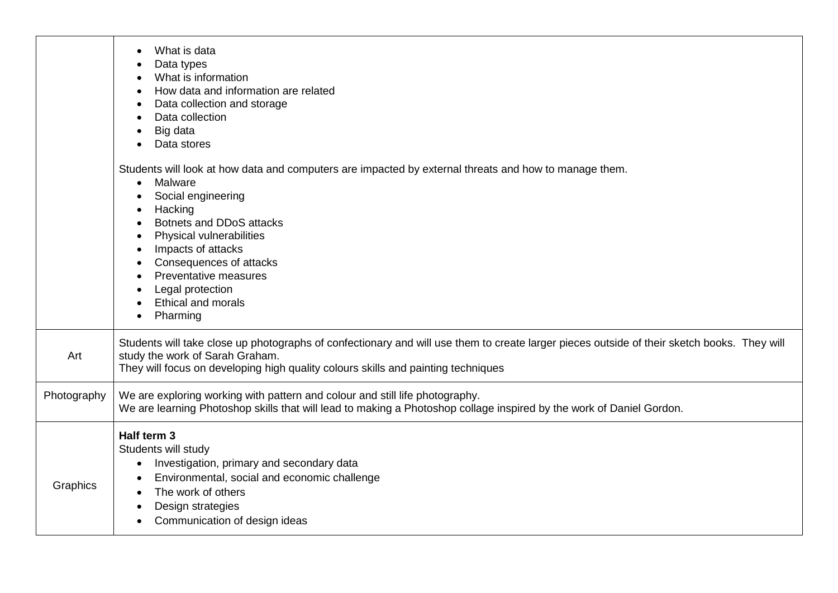|             | What is data<br>Data types<br>What is information<br>How data and information are related<br>Data collection and storage<br>Data collection<br>Big data<br>Data stores                                                                                                                                                                                        |
|-------------|---------------------------------------------------------------------------------------------------------------------------------------------------------------------------------------------------------------------------------------------------------------------------------------------------------------------------------------------------------------|
|             | Students will look at how data and computers are impacted by external threats and how to manage them.<br>Malware<br>$\bullet$<br>Social engineering<br>Hacking<br>Botnets and DDoS attacks<br>Physical vulnerabilities<br>Impacts of attacks<br>Consequences of attacks<br>Preventative measures<br>Legal protection<br><b>Ethical and morals</b><br>Pharming |
| Art         | Students will take close up photographs of confectionary and will use them to create larger pieces outside of their sketch books. They will<br>study the work of Sarah Graham.<br>They will focus on developing high quality colours skills and painting techniques                                                                                           |
| Photography | We are exploring working with pattern and colour and still life photography.<br>We are learning Photoshop skills that will lead to making a Photoshop collage inspired by the work of Daniel Gordon.                                                                                                                                                          |
| Graphics    | Half term 3<br>Students will study<br>Investigation, primary and secondary data<br>$\bullet$<br>Environmental, social and economic challenge<br>The work of others<br>Design strategies<br>Communication of design ideas                                                                                                                                      |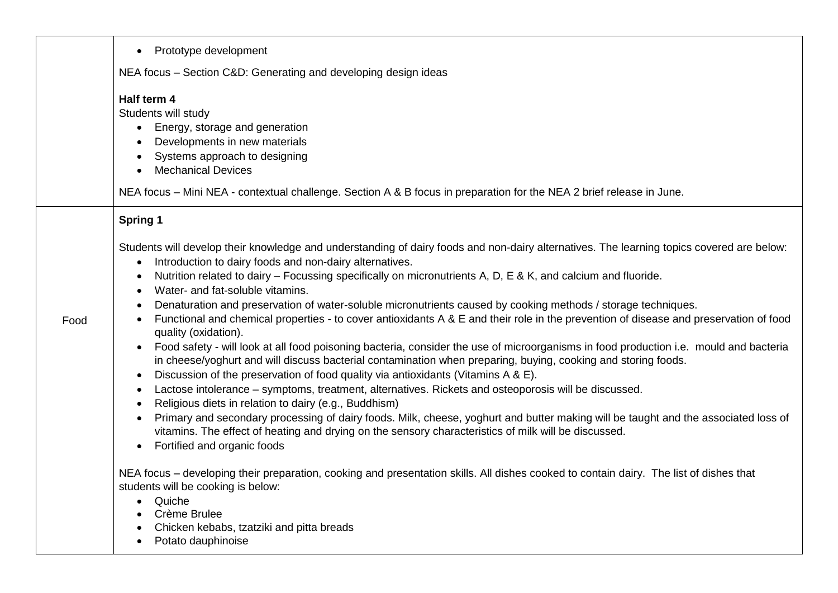|      | Prototype development<br>$\bullet$                                                                                                                                                                                                                                                                                                                                                                                                                                                                                                                                                                                                                                                                                                                                                                                                                                                                                                                                                                                                                                                                                                                                                                                                                                                                                                                                                                                                                                                                                                 |
|------|------------------------------------------------------------------------------------------------------------------------------------------------------------------------------------------------------------------------------------------------------------------------------------------------------------------------------------------------------------------------------------------------------------------------------------------------------------------------------------------------------------------------------------------------------------------------------------------------------------------------------------------------------------------------------------------------------------------------------------------------------------------------------------------------------------------------------------------------------------------------------------------------------------------------------------------------------------------------------------------------------------------------------------------------------------------------------------------------------------------------------------------------------------------------------------------------------------------------------------------------------------------------------------------------------------------------------------------------------------------------------------------------------------------------------------------------------------------------------------------------------------------------------------|
|      | NEA focus - Section C&D: Generating and developing design ideas                                                                                                                                                                                                                                                                                                                                                                                                                                                                                                                                                                                                                                                                                                                                                                                                                                                                                                                                                                                                                                                                                                                                                                                                                                                                                                                                                                                                                                                                    |
|      | Half term 4<br>Students will study<br>Energy, storage and generation<br>$\bullet$<br>Developments in new materials<br>Systems approach to designing<br><b>Mechanical Devices</b><br>NEA focus - Mini NEA - contextual challenge. Section A & B focus in preparation for the NEA 2 brief release in June.                                                                                                                                                                                                                                                                                                                                                                                                                                                                                                                                                                                                                                                                                                                                                                                                                                                                                                                                                                                                                                                                                                                                                                                                                           |
|      | <b>Spring 1</b>                                                                                                                                                                                                                                                                                                                                                                                                                                                                                                                                                                                                                                                                                                                                                                                                                                                                                                                                                                                                                                                                                                                                                                                                                                                                                                                                                                                                                                                                                                                    |
| Food | Students will develop their knowledge and understanding of dairy foods and non-dairy alternatives. The learning topics covered are below:<br>Introduction to dairy foods and non-dairy alternatives.<br>$\bullet$<br>Nutrition related to dairy - Focussing specifically on micronutrients A, D, E & K, and calcium and fluoride.<br>$\bullet$<br>Water- and fat-soluble vitamins.<br>Denaturation and preservation of water-soluble micronutrients caused by cooking methods / storage techniques.<br>Functional and chemical properties - to cover antioxidants A & E and their role in the prevention of disease and preservation of food<br>quality (oxidation).<br>Food safety - will look at all food poisoning bacteria, consider the use of microorganisms in food production i.e. mould and bacteria<br>in cheese/yoghurt and will discuss bacterial contamination when preparing, buying, cooking and storing foods.<br>Discussion of the preservation of food quality via antioxidants (Vitamins A & E).<br>$\bullet$<br>Lactose intolerance - symptoms, treatment, alternatives. Rickets and osteoporosis will be discussed.<br>$\bullet$<br>Religious diets in relation to dairy (e.g., Buddhism)<br>$\bullet$<br>Primary and secondary processing of dairy foods. Milk, cheese, yoghurt and butter making will be taught and the associated loss of<br>$\bullet$<br>vitamins. The effect of heating and drying on the sensory characteristics of milk will be discussed.<br>Fortified and organic foods<br>$\bullet$ |
|      | NEA focus – developing their preparation, cooking and presentation skills. All dishes cooked to contain dairy. The list of dishes that<br>students will be cooking is below:<br>Quiche<br>$\bullet$<br>Crème Brulee<br>Chicken kebabs, tzatziki and pitta breads                                                                                                                                                                                                                                                                                                                                                                                                                                                                                                                                                                                                                                                                                                                                                                                                                                                                                                                                                                                                                                                                                                                                                                                                                                                                   |
|      | Potato dauphinoise                                                                                                                                                                                                                                                                                                                                                                                                                                                                                                                                                                                                                                                                                                                                                                                                                                                                                                                                                                                                                                                                                                                                                                                                                                                                                                                                                                                                                                                                                                                 |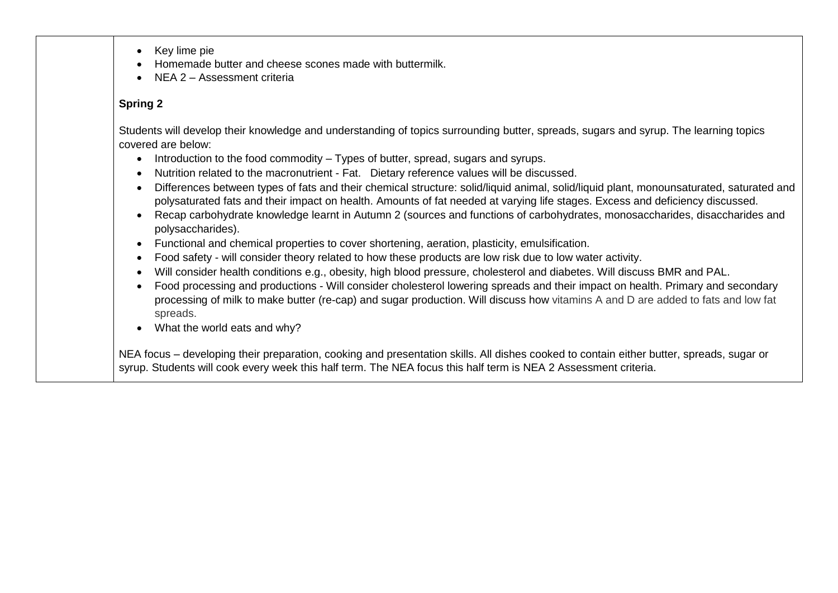- Key lime pie
- Homemade butter and cheese scones made with buttermilk.
- NEA 2 Assessment criteria

#### **Spring 2**

Students will develop their knowledge and understanding of topics surrounding butter, spreads, sugars and syrup. The learning topics covered are below:

- Introduction to the food commodity Types of butter, spread, sugars and syrups.
- Nutrition related to the macronutrient Fat. Dietary reference values will be discussed.
- Differences between types of fats and their chemical structure: solid/liquid animal, solid/liquid plant, monounsaturated, saturated and polysaturated fats and their impact on health. Amounts of fat needed at varying life stages. Excess and deficiency discussed.
- Recap carbohydrate knowledge learnt in Autumn 2 (sources and functions of carbohydrates, monosaccharides, disaccharides and polysaccharides).
- Functional and chemical properties to cover shortening, aeration, plasticity, emulsification.
- Food safety will consider theory related to how these products are low risk due to low water activity.
- Will consider health conditions e.g., obesity, high blood pressure, cholesterol and diabetes. Will discuss BMR and PAL.
- Food processing and productions Will consider cholesterol lowering spreads and their impact on health. Primary and secondary processing of milk to make butter (re-cap) and sugar production. Will discuss how vitamins A and D are added to fats and low fat spreads.
- What the world eats and why?

NEA focus – developing their preparation, cooking and presentation skills. All dishes cooked to contain either butter, spreads, sugar or syrup. Students will cook every week this half term. The NEA focus this half term is NEA 2 Assessment criteria.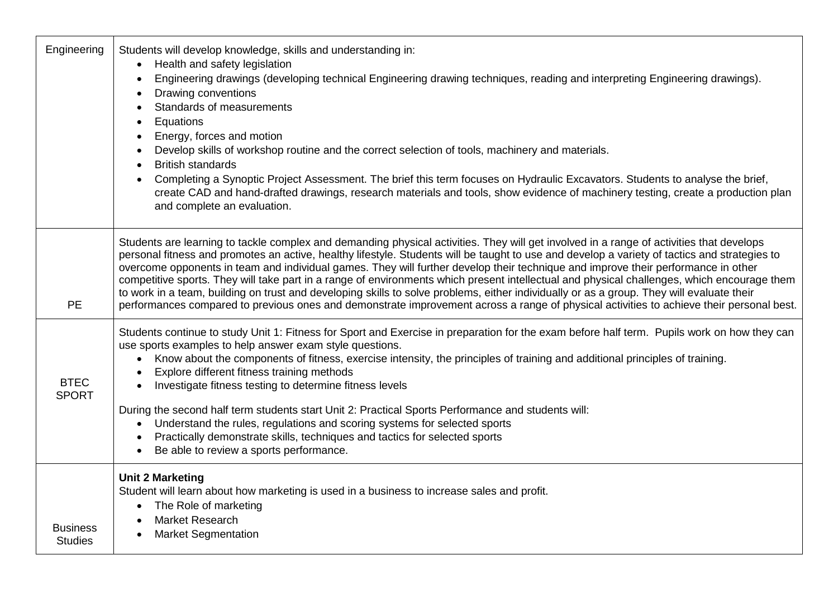| Engineering                       | Students will develop knowledge, skills and understanding in:<br>Health and safety legislation<br>$\bullet$<br>Engineering drawings (developing technical Engineering drawing techniques, reading and interpreting Engineering drawings).<br>Drawing conventions<br>Standards of measurements<br>Equations<br>Energy, forces and motion<br>Develop skills of workshop routine and the correct selection of tools, machinery and materials.<br><b>British standards</b><br>Completing a Synoptic Project Assessment. The brief this term focuses on Hydraulic Excavators. Students to analyse the brief,<br>create CAD and hand-drafted drawings, research materials and tools, show evidence of machinery testing, create a production plan<br>and complete an evaluation.                                                                                             |
|-----------------------------------|------------------------------------------------------------------------------------------------------------------------------------------------------------------------------------------------------------------------------------------------------------------------------------------------------------------------------------------------------------------------------------------------------------------------------------------------------------------------------------------------------------------------------------------------------------------------------------------------------------------------------------------------------------------------------------------------------------------------------------------------------------------------------------------------------------------------------------------------------------------------|
| <b>PE</b>                         | Students are learning to tackle complex and demanding physical activities. They will get involved in a range of activities that develops<br>personal fitness and promotes an active, healthy lifestyle. Students will be taught to use and develop a variety of tactics and strategies to<br>overcome opponents in team and individual games. They will further develop their technique and improve their performance in other<br>competitive sports. They will take part in a range of environments which present intellectual and physical challenges, which encourage them<br>to work in a team, building on trust and developing skills to solve problems, either individually or as a group. They will evaluate their<br>performances compared to previous ones and demonstrate improvement across a range of physical activities to achieve their personal best. |
| <b>BTEC</b><br><b>SPORT</b>       | Students continue to study Unit 1: Fitness for Sport and Exercise in preparation for the exam before half term. Pupils work on how they can<br>use sports examples to help answer exam style questions.<br>Know about the components of fitness, exercise intensity, the principles of training and additional principles of training.<br>$\bullet$<br>Explore different fitness training methods<br>Investigate fitness testing to determine fitness levels<br>During the second half term students start Unit 2: Practical Sports Performance and students will:<br>Understand the rules, regulations and scoring systems for selected sports<br>$\bullet$<br>Practically demonstrate skills, techniques and tactics for selected sports<br>Be able to review a sports performance.                                                                                  |
| <b>Business</b><br><b>Studies</b> | <b>Unit 2 Marketing</b><br>Student will learn about how marketing is used in a business to increase sales and profit.<br>The Role of marketing<br><b>Market Research</b><br><b>Market Segmentation</b>                                                                                                                                                                                                                                                                                                                                                                                                                                                                                                                                                                                                                                                                 |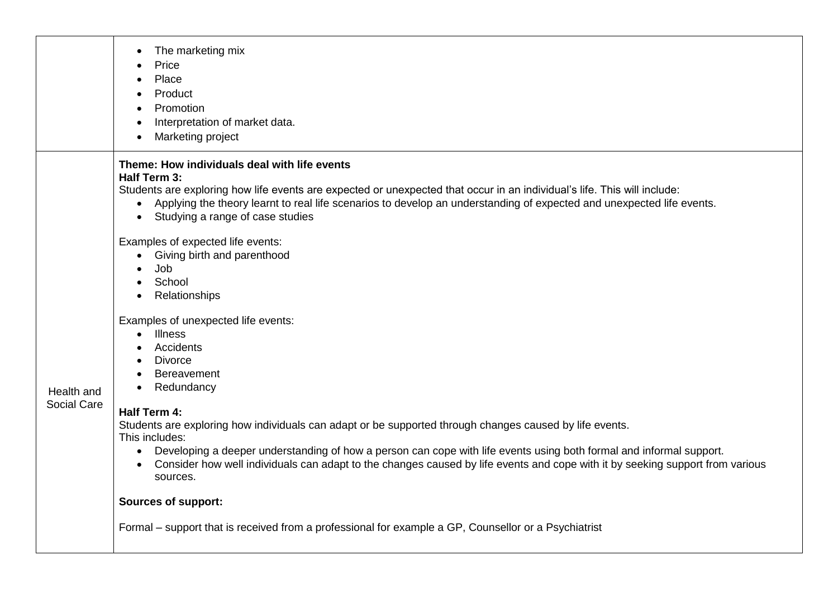|  |                    | The marketing mix<br>$\bullet$<br>Price<br>Place<br>Product<br>Promotion<br>$\bullet$<br>Interpretation of market data.<br>$\bullet$<br>Marketing project<br>$\bullet$                                                                                                                                                                                                                                                                  |
|--|--------------------|-----------------------------------------------------------------------------------------------------------------------------------------------------------------------------------------------------------------------------------------------------------------------------------------------------------------------------------------------------------------------------------------------------------------------------------------|
|  |                    | Theme: How individuals deal with life events<br>Half Term 3:<br>Students are exploring how life events are expected or unexpected that occur in an individual's life. This will include:<br>Applying the theory learnt to real life scenarios to develop an understanding of expected and unexpected life events.<br>$\bullet$<br>Studying a range of case studies<br>$\bullet$                                                         |
|  |                    | Examples of expected life events:<br>Giving birth and parenthood<br>$\bullet$<br>Job<br>School<br>$\bullet$<br>Relationships<br>$\bullet$                                                                                                                                                                                                                                                                                               |
|  | Health and         | Examples of unexpected life events:<br><b>Illness</b><br>$\bullet$<br>Accidents<br><b>Divorce</b><br>Bereavement<br>Redundancy                                                                                                                                                                                                                                                                                                          |
|  | <b>Social Care</b> | Half Term 4:<br>Students are exploring how individuals can adapt or be supported through changes caused by life events.<br>This includes:<br>Developing a deeper understanding of how a person can cope with life events using both formal and informal support.<br>$\bullet$<br>Consider how well individuals can adapt to the changes caused by life events and cope with it by seeking support from various<br>$\bullet$<br>sources. |
|  |                    | <b>Sources of support:</b><br>Formal – support that is received from a professional for example a GP, Counsellor or a Psychiatrist                                                                                                                                                                                                                                                                                                      |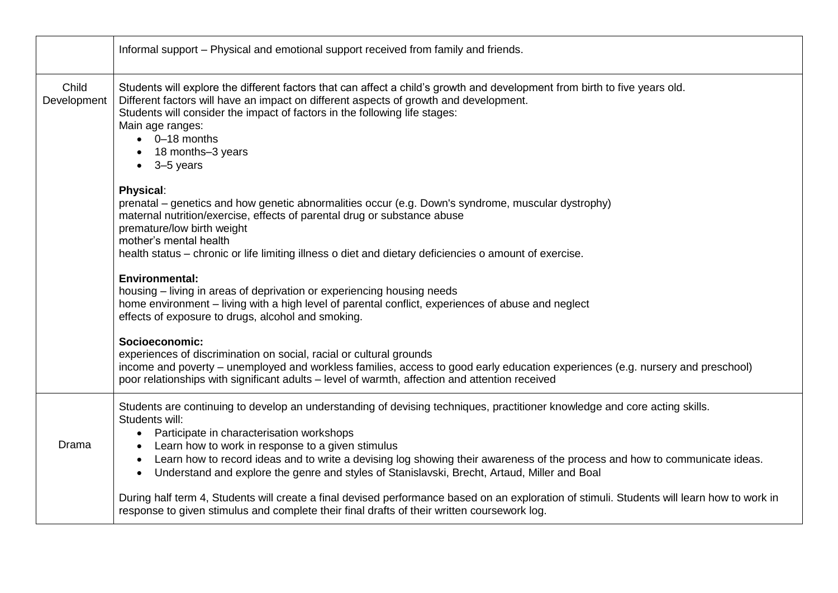|                      | Informal support - Physical and emotional support received from family and friends.                                                                                                                                                                                                                                                                                                                                                                                          |
|----------------------|------------------------------------------------------------------------------------------------------------------------------------------------------------------------------------------------------------------------------------------------------------------------------------------------------------------------------------------------------------------------------------------------------------------------------------------------------------------------------|
| Child<br>Development | Students will explore the different factors that can affect a child's growth and development from birth to five years old.<br>Different factors will have an impact on different aspects of growth and development.<br>Students will consider the impact of factors in the following life stages:<br>Main age ranges:<br>$\bullet$ 0-18 months<br>18 months-3 years<br>$\bullet$ 3-5 years                                                                                   |
|                      | <b>Physical:</b><br>prenatal – genetics and how genetic abnormalities occur (e.g. Down's syndrome, muscular dystrophy)<br>maternal nutrition/exercise, effects of parental drug or substance abuse<br>premature/low birth weight<br>mother's mental health<br>health status – chronic or life limiting illness o diet and dietary deficiencies o amount of exercise.                                                                                                         |
|                      | <b>Environmental:</b><br>housing – living in areas of deprivation or experiencing housing needs<br>home environment - living with a high level of parental conflict, experiences of abuse and neglect<br>effects of exposure to drugs, alcohol and smoking.                                                                                                                                                                                                                  |
|                      | Socioeconomic:<br>experiences of discrimination on social, racial or cultural grounds<br>income and poverty – unemployed and workless families, access to good early education experiences (e.g. nursery and preschool)<br>poor relationships with significant adults - level of warmth, affection and attention received                                                                                                                                                    |
| Drama                | Students are continuing to develop an understanding of devising techniques, practitioner knowledge and core acting skills.<br>Students will:<br>Participate in characterisation workshops<br>Learn how to work in response to a given stimulus<br>Learn how to record ideas and to write a devising log showing their awareness of the process and how to communicate ideas.<br>Understand and explore the genre and styles of Stanislavski, Brecht, Artaud, Miller and Boal |
|                      | During half term 4, Students will create a final devised performance based on an exploration of stimuli. Students will learn how to work in<br>response to given stimulus and complete their final drafts of their written coursework log.                                                                                                                                                                                                                                   |